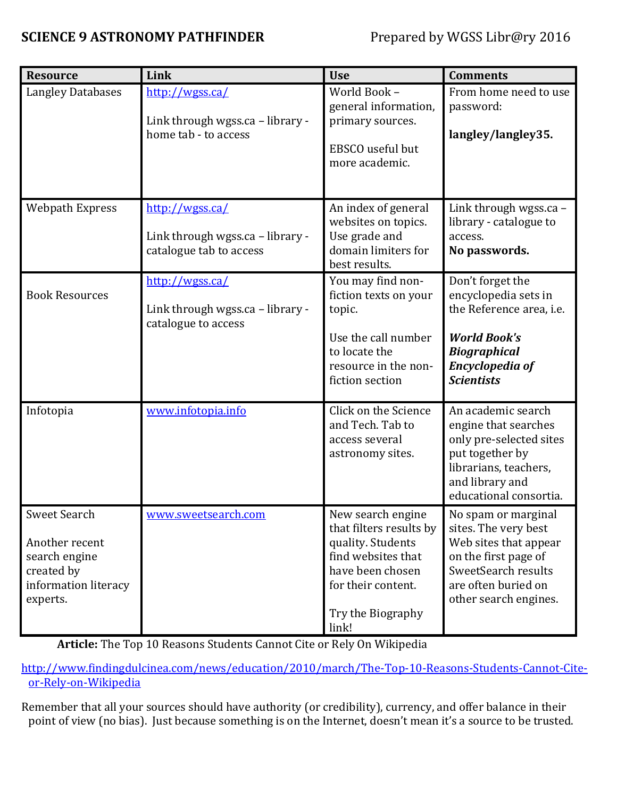## **SCIENCE 9 ASTRONOMY PATHFINDER** Prepared by WGSS Libr@ry 2016

| <b>Resource</b>                                                                                   | Link                                                                           | <b>Use</b>                                                                                                                                                      | <b>Comments</b>                                                                                                                                                     |
|---------------------------------------------------------------------------------------------------|--------------------------------------------------------------------------------|-----------------------------------------------------------------------------------------------------------------------------------------------------------------|---------------------------------------------------------------------------------------------------------------------------------------------------------------------|
| <b>Langley Databases</b>                                                                          | http://wgss.ca/<br>Link through wgss.ca - library -<br>home tab - to access    | World Book -<br>general information,<br>primary sources.<br>EBSCO useful but<br>more academic.                                                                  | From home need to use<br>password:<br>langley/langley35.                                                                                                            |
| <b>Webpath Express</b>                                                                            | http://wgss.ca/<br>Link through wgss.ca - library -<br>catalogue tab to access | An index of general<br>websites on topics.<br>Use grade and<br>domain limiters for<br>best results.                                                             | Link through wgss.ca -<br>library - catalogue to<br>access.<br>No passwords.                                                                                        |
| <b>Book Resources</b>                                                                             | http://wgss.ca/<br>Link through wgss.ca - library -<br>catalogue to access     | You may find non-<br>fiction texts on your<br>topic.<br>Use the call number<br>to locate the<br>resource in the non-<br>fiction section                         | Don't forget the<br>encyclopedia sets in<br>the Reference area, i.e.<br><b>World Book's</b><br><b>Biographical</b><br><b>Encyclopedia of</b><br><b>Scientists</b>   |
| Infotopia                                                                                         | www.infotopia.info                                                             | Click on the Science<br>and Tech. Tab to<br>access several<br>astronomy sites.                                                                                  | An academic search<br>engine that searches<br>only pre-selected sites<br>put together by<br>librarians, teachers,<br>and library and<br>educational consortia.      |
| Sweet Search<br>Another recent<br>search engine<br>created by<br>information literacy<br>experts. | www.sweetsearch.com                                                            | New search engine<br>that filters results by<br>quality. Students<br>find websites that<br>have been chosen<br>for their content.<br>Try the Biography<br>link! | No spam or marginal<br>sites. The very best<br>Web sites that appear<br>on the first page of<br>SweetSearch results<br>are often buried on<br>other search engines. |

**Article:** The Top 10 Reasons Students Cannot Cite or Rely On Wikipedia

[http://www.findingdulcinea.com/news/education/2010/march/The-Top-10-Reasons-Students-Cannot-Cite](http://www.findingdulcinea.com/news/education/2010/march/The-Top-10-Reasons-Students-Cannot-Cite-or-Rely-on-Wikipedia)[or-Rely-on-Wikipedia](http://www.findingdulcinea.com/news/education/2010/march/The-Top-10-Reasons-Students-Cannot-Cite-or-Rely-on-Wikipedia)

Remember that all your sources should have authority (or credibility), currency, and offer balance in their point of view (no bias). Just because something is on the Internet, doesn't mean it's a source to be trusted.